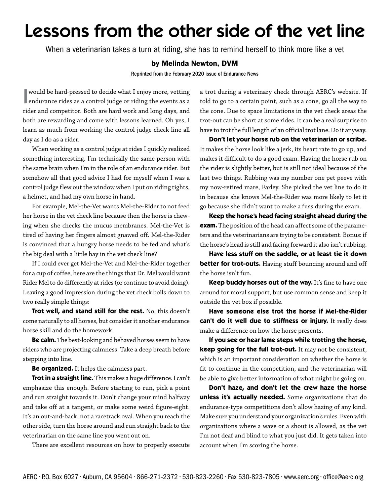## Lessons from the other side of the vet line

When a veterinarian takes a turn at riding, she has to remind herself to think more like a vet

## by Melinda Newton, DVM

Reprinted from the February 2020 issue of Endurance News

 $\begin{array}{|l|} \hline \text{would be hard-pressed to decide what I enjoy more, vetting \\\end{array} \text{and} \text{urance rides as a control judge or riding the events as a \\\end{array}$ endurance rides as a control judge or riding the events as a rider and competitor. Both are hard work and long days, and both are rewarding and come with lessons learned. Oh yes, I learn as much from working the control judge check line all day as I do as a rider.

When working as a control judge at rides I quickly realized something interesting. I'm technically the same person with the same brain when I'm in the role of an endurance rider. But somehow all that good advice I had for myself when I was a control judge flew out the window when I put on riding tights, a helmet, and had my own horse in hand.

For example, Mel-the-Vet wants Mel-the-Rider to not feed her horse in the vet check line because then the horse is chewing when she checks the mucus membranes. Mel-the-Vet is tired of having her fingers almost gnawed off. Mel-the-Rider is convinced that a hungry horse needs to be fed and what's the big deal with a little hay in the vet check line?

If I could ever get Mel-the-Vet and Mel-the-Rider together for a cup of coffee, here are the things that Dr. Mel would want Rider Mel to do differently at rides (or continue to avoid doing). Leaving a good impression during the vet check boils down to two really simple things:

**Trot well, and stand still for the rest.** No, this doesn't come naturally to all horses, but consider it another endurance horse skill and do the homework.

**Be calm.** The best-looking and behaved horses seem to have riders who are projecting calmness. Take a deep breath before stepping into line.

**Be organized.** It helps the calmness part.

**Trot in a straight line.** This makes a huge difference. I can't emphasize this enough. Before starting to run, pick a point and run straight towards it. Don't change your mind halfway and take off at a tangent, or make some weird figure-eight. It's an out-and-back, not a racetrack oval. When you reach the other side, turn the horse around and run straight back to the veterinarian on the same line you went out on.

There are excellent resources on how to properly execute

a trot during a veterinary check through AERC's website. If told to go to a certain point, such as a cone, go all the way to the cone. Due to space limitations in the vet check areas the trot-out can be short at some rides. It can be a real surprise to have to trot the full length of an official trot lane. Do it anyway.

**Don't let your horse rub on the veterinarian or scribe.**  It makes the horse look like a jerk, its heart rate to go up, and makes it difficult to do a good exam. Having the horse rub on the rider is slightly better, but is still not ideal because of the last two things. Rubbing was my number one pet peeve with my now-retired mare, Farley. She picked the vet line to do it in because she knows Mel-the-Rider was more likely to let it go because she didn't want to make a fuss during the exam.

**Keep the horse's head facing straight ahead during the exam.** The position of the head can affect some of the parameters and the veterinarians are trying to be consistent. Bonus: if the horse's head is still and facing forward it also isn't rubbing.

**Have less stuff on the saddle, or at least tie it down better for trot-outs.** Having stuff bouncing around and off the horse isn't fun.

Keep buddy horses out of the way. It's fine to have one around for moral support, but use common sense and keep it outside the vet box if possible.

**Have someone else trot the horse if Mel-the-Rider can't do it well due to stiffness or injury.** It really does make a difference on how the horse presents.

**If you see or hear lame steps while trotting the horse, keep going for the full trot-out.** It may not be consistent, which is an important consideration on whether the horse is fit to continue in the competition, and the veterinarian will be able to give better information of what might be going on.

**Don't haze, and don't let the crew haze the horse unless it's actually needed.** Some organizations that do endurance-type competitions don't allow hazing of any kind. Make sure you understand your organization's rules. Even with organizations where a wave or a shout is allowed, as the vet I'm not deaf and blind to what you just did. It gets taken into account when I'm scoring the horse.